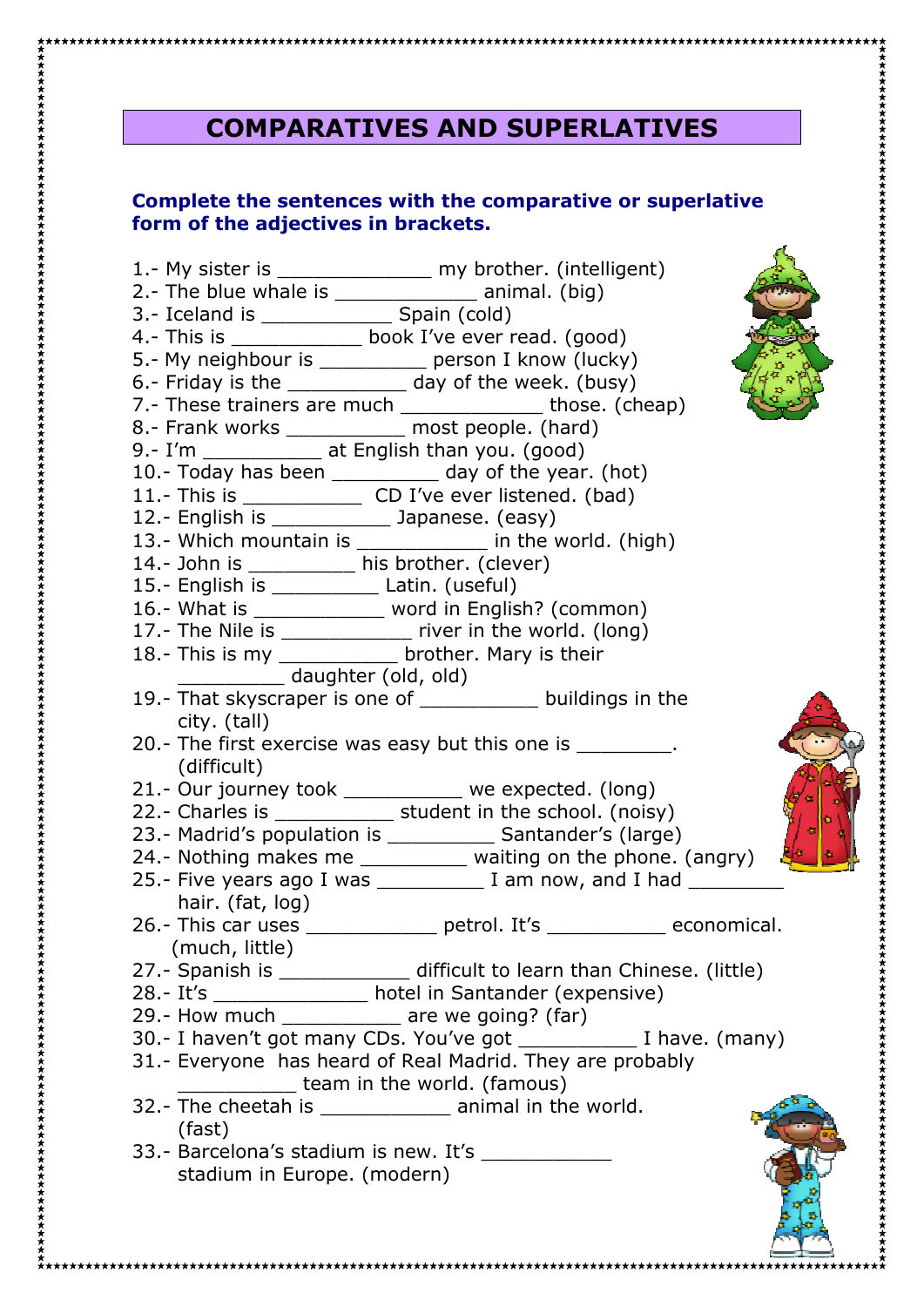## **COMPARATIVES AND SUPERLATIVES**

## **Complete the sentences with the comparative or superlative form of the adjectives in brackets.**